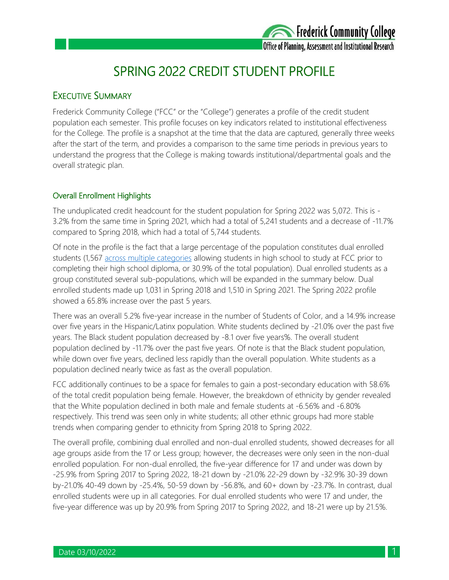

## SPRING 2022 CREDIT STUDENT PROFILE

## EXECUTIVE SUMMARY

Frederick Community College ("FCC" or the "College") generates a profile of the credit student population each semester. This profile focuses on key indicators related to institutional effectiveness for the College. The profile is a snapshot at the time that the data are captured, generally three weeks after the start of the term, and provides a comparison to the same time periods in previous years to understand the progress that the College is making towards institutional/departmental goals and the overall strategic plan.

### Overall Enrollment Highlights

The unduplicated credit headcount for the student population for Spring 2022 was 5,072. This is - 3.2% from the same time in Spring 2021, which had a total of 5,241 students and a decrease of -11.7% compared to Spring 2018, which had a total of 5,744 students.

Of note in the profile is the fact that a large percentage of the population constitutes dual enrolled students (1,567 [across multiple categories](https://www.frederick.edu/admissions/dual-enrollment.aspx) allowing students in high school to study at FCC prior to completing their high school diploma, or 30.9% of the total population). Dual enrolled students as a group constituted several sub-populations, which will be expanded in the summary below. Dual enrolled students made up 1,031 in Spring 2018 and 1,510 in Spring 2021. The Spring 2022 profile showed a 65.8% increase over the past 5 years.

There was an overall 5.2% five-year increase in the number of Students of Color, and a 14.9% increase over five years in the Hispanic/Latinx population. White students declined by -21.0% over the past five years. The Black student population decreased by -8.1 over five years%. The overall student population declined by -11.7% over the past five years. Of note is that the Black student population, while down over five years, declined less rapidly than the overall population. White students as a population declined nearly twice as fast as the overall population.

FCC additionally continues to be a space for females to gain a post-secondary education with 58.6% of the total credit population being female. However, the breakdown of ethnicity by gender revealed that the White population declined in both male and female students at -6.56% and -6.80% respectively. This trend was seen only in white students; all other ethnic groups had more stable trends when comparing gender to ethnicity from Spring 2018 to Spring 2022.

The overall profile, combining dual enrolled and non-dual enrolled students, showed decreases for all age groups aside from the 17 or Less group; however, the decreases were only seen in the non-dual enrolled population. For non-dual enrolled, the five-year difference for 17 and under was down by -25.9% from Spring 2017 to Spring 2022, 18-21 down by -21.0% 22-29 down by -32.9% 30-39 down by-21.0% 40-49 down by -25.4%, 50-59 down by -56.8%, and 60+ down by -23.7%. In contrast, dual enrolled students were up in all categories. For dual enrolled students who were 17 and under, the five-year difference was up by 20.9% from Spring 2017 to Spring 2022, and 18-21 were up by 21.5%.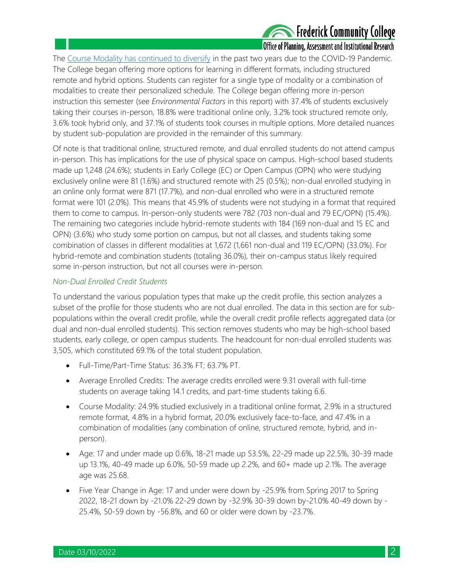# **Experience Community College**

### Office of Planning, Assessment and Institutional Research

The [Course Modality has continued to diversify](https://www.frederick.edu/class-schedules/course-formats.aspx) in the past two years due to the COVID-19 Pandemic. The College began offering more options for learning in different formats, including structured remote and hybrid options. Students can register for a single type of modality or a combination of modalities to create their personalized schedule. The College began offering more in-person instruction this semester (see *Environmental Factors* in this report) with 37.4% of students exclusively taking their courses in-person, 18.8% were traditional online only, 3.2% took structured remote only, 3.6% took hybrid only, and 37.1% of students took courses in multiple options. More detailed nuances by student sub-population are provided in the remainder of this summary.

Of note is that traditional online, structured remote, and dual enrolled students do not attend campus in-person. This has implications for the use of physical space on campus. High-school based students made up 1,248 (24.6%); students in Early College (EC) or Open Campus (OPN) who were studying exclusively online were 81 (1.6%) and structured remote with 25 (0.5%); non-dual enrolled studying in an online only format were 871 (17.7%), and non-dual enrolled who were in a structured remote format were 101 (2.0%). This means that 45.9% of students were not studying in a format that required them to come to campus. In-person-only students were 782 (703 non-dual and 79 EC/OPN) (15.4%). The remaining two categories include hybrid-remote students with 184 (169 non-dual and 15 EC and OPN) (3.6%) who study some portion on campus, but not all classes, and students taking some combination of classes in different modalities at 1,672 (1,661 non-dual and 119 EC/OPN) (33.0%). For hybrid-remote and combination students (totaling 36.0%), their on-campus status likely required some in-person instruction, but not all courses were in-person.

### *Non-Dual Enrolled Credit Students*

To understand the various population types that make up the credit profile, this section analyzes a subset of the profile for those students who are not dual enrolled. The data in this section are for subpopulations within the overall credit profile, while the overall credit profile reflects aggregated data (or dual and non-dual enrolled students). This section removes students who may be high-school based students, early college, or open campus students. The headcount for non-dual enrolled students was 3,505, which constituted 69.1% of the total student population.

- Full-Time/Part-Time Status: 36.3% FT; 63.7% PT.
- Average Enrolled Credits: The average credits enrolled were 9.31 overall with full-time students on average taking 14.1 credits, and part-time students taking 6.6.
- Course Modality: 24.9% studied exclusively in a traditional online format, 2.9% in a structured remote format, 4.8% in a hybrid format, 20.0% exclusively face-to-face, and 47.4% in a combination of modalities (any combination of online, structured remote, hybrid, and inperson).
- Age: 17 and under made up 0.6%, 18-21 made up 53.5%, 22-29 made up 22.5%, 30-39 made up 13.1%, 40-49 made up 6.0%, 50-59 made up 2.2%, and 60+ made up 2.1%. The average age was 25.68.
- Five Year Change in Age: 17 and under were down by -25.9% from Spring 2017 to Spring 2022, 18-21 down by -21.0% 22-29 down by -32.9% 30-39 down by-21.0% 40-49 down by - 25.4%, 50-59 down by -56.8%, and 60 or older were down by -23.7%.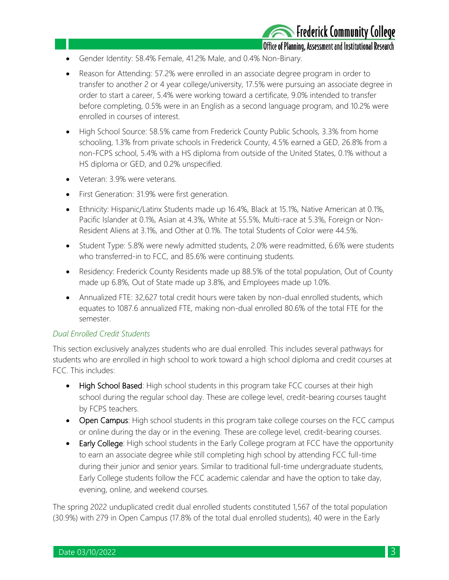Office of Planning, Assessment and Institutional Research

- Gender Identity: 58.4% Female, 41.2% Male, and 0.4% Non-Binary.
- Reason for Attending: 57.2% were enrolled in an associate degree program in order to transfer to another 2 or 4 year college/university, 17.5% were pursuing an associate degree in order to start a career, 5.4% were working toward a certificate, 9.0% intended to transfer before completing, 0.5% were in an English as a second language program, and 10.2% were enrolled in courses of interest.
- High School Source: 58.5% came from Frederick County Public Schools, 3.3% from home schooling, 1.3% from private schools in Frederick County, 4.5% earned a GED, 26.8% from a non-FCPS school, 5.4% with a HS diploma from outside of the United States, 0.1% without a HS diploma or GED, and 0.2% unspecified.
- Veteran: 3.9% were veterans.
- First Generation: 31.9% were first generation.
- Ethnicity: Hispanic/Latinx Students made up 16.4%, Black at 15.1%, Native American at 0.1%, Pacific Islander at 0.1%, Asian at 4.3%, White at 55.5%, Multi-race at 5.3%, Foreign or Non-Resident Aliens at 3.1%, and Other at 0.1%. The total Students of Color were 44.5%.
- Student Type: 5.8% were newly admitted students, 2.0% were readmitted, 6.6% were students who transferred-in to FCC, and 85.6% were continuing students.
- Residency: Frederick County Residents made up 88.5% of the total population, Out of County made up 6.8%, Out of State made up 3.8%, and Employees made up 1.0%.
- Annualized FTE: 32,627 total credit hours were taken by non-dual enrolled students, which equates to 1087.6 annualized FTE, making non-dual enrolled 80.6% of the total FTE for the semester.

## *Dual Enrolled Credit Students*

This section exclusively analyzes students who are dual enrolled. This includes several pathways for students who are enrolled in high school to work toward a high school diploma and credit courses at FCC. This includes:

- High School Based: High school students in this program take FCC courses at their high school during the regular school day. These are college level, credit-bearing courses taught by FCPS teachers.
- Open Campus: High school students in this program take college courses on the FCC campus or online during the day or in the evening. These are college level, credit-bearing courses.
- Early College: High school students in the Early College program at FCC have the opportunity to earn an associate degree while still completing high school by attending FCC full-time during their junior and senior years. Similar to traditional full-time undergraduate students, Early College students follow the FCC academic calendar and have the option to take day, evening, online, and weekend courses.

The spring 2022 unduplicated credit dual enrolled students constituted 1,567 of the total population (30.9%) with 279 in Open Campus (17.8% of the total dual enrolled students), 40 were in the Early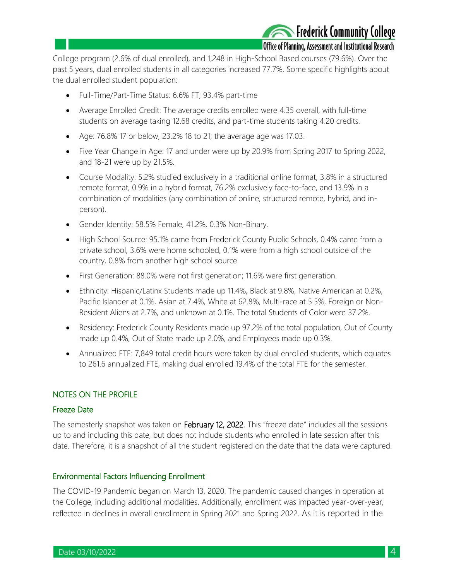## Frederick Community College

## Office of Planning, Assessment and Institutional Research

College program (2.6% of dual enrolled), and 1,248 in High-School Based courses (79.6%). Over the past 5 years, dual enrolled students in all categories increased 77.7%. Some specific highlights about the dual enrolled student population:

- Full-Time/Part-Time Status: 6.6% FT; 93.4% part-time
- Average Enrolled Credit: The average credits enrolled were 4.35 overall, with full-time students on average taking 12.68 credits, and part-time students taking 4.20 credits.
- Age: 76.8% 17 or below, 23.2% 18 to 21; the average age was 17.03.
- Five Year Change in Age: 17 and under were up by 20.9% from Spring 2017 to Spring 2022, and 18-21 were up by 21.5%.
- Course Modality: 5.2% studied exclusively in a traditional online format, 3.8% in a structured remote format, 0.9% in a hybrid format, 76.2% exclusively face-to-face, and 13.9% in a combination of modalities (any combination of online, structured remote, hybrid, and inperson).
- Gender Identity: 58.5% Female, 41.2%, 0.3% Non-Binary.
- High School Source: 95.1% came from Frederick County Public Schools, 0.4% came from a private school, 3.6% were home schooled, 0.1% were from a high school outside of the country, 0.8% from another high school source.
- First Generation: 88.0% were not first generation; 11.6% were first generation.
- Ethnicity: Hispanic/Latinx Students made up 11.4%, Black at 9.8%, Native American at 0.2%, Pacific Islander at 0.1%, Asian at 7.4%, White at 62.8%, Multi-race at 5.5%, Foreign or Non-Resident Aliens at 2.7%, and unknown at 0.1%. The total Students of Color were 37.2%.
- Residency: Frederick County Residents made up 97.2% of the total population, Out of County made up 0.4%, Out of State made up 2.0%, and Employees made up 0.3%.
- Annualized FTE: 7,849 total credit hours were taken by dual enrolled students, which equates to 261.6 annualized FTE, making dual enrolled 19.4% of the total FTE for the semester.

### NOTES ON THE PROFILE

#### Freeze Date

The semesterly snapshot was taken on February 12, 2022. This "freeze date" includes all the sessions up to and including this date, but does not include students who enrolled in late session after this date. Therefore, it is a snapshot of all the student registered on the date that the data were captured.

#### Environmental Factors Influencing Enrollment

The COVID-19 Pandemic began on March 13, 2020. The pandemic caused changes in operation at the College, including additional modalities. Additionally, enrollment was impacted year-over-year, reflected in declines in overall enrollment in Spring 2021 and Spring 2022. As it is reported in the